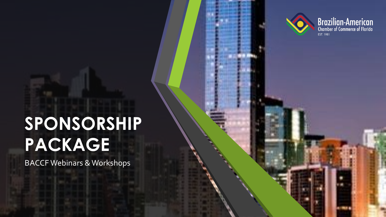



# **SPONSORSHIP PACKAGE**

BACCF Webinars & Workshops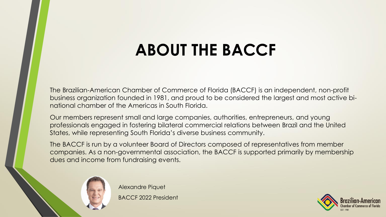# **ABOUT THE BACCF**

The Brazilian-American Chamber of Commerce of Florida (BACCF) is an independent, non-profit business organization founded in 1981, and proud to be considered the largest and most active binational chamber of the Americas in South Florida.

Our members represent small and large companies, authorities, entrepreneurs, and young professionals engaged in fostering bilateral commercial relations between Brazil and the United States, while representing South Florida's diverse business community.

The BACCF is run by a volunteer Board of Directors composed of representatives from member companies. As a non-governmental association, the BACCF is supported primarily by membership dues and income from fundraising events.



Alexandre Piquet BACCF 2022 President

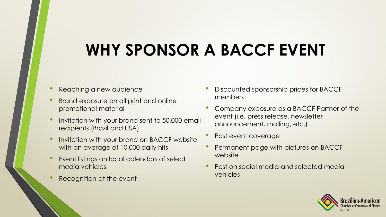# **WHY SPONSOR A BACCF EVENT**

- Reaching a new audience
- Brand exposure on all print and online promotional material
- Invitation with your brand sent to 50,000 email recipients (Brazil and USA)
- Invitation with your brand on BACCF website with an average of 10,000 daily hits
- Event listings on local calendars of select media vehicles
- Recognition at the event
- Discounted sponsorship prices for BACCF members
- Company exposure as a BACCF Partner of the event (i.e. press release, newsletter announcement, mailing, etc.)
- Post event coverage
- Permanent page with pictures on BACCF website
- Post on social media and selected media vehicles

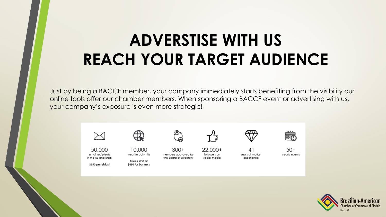# **ADVERSTISE WITH US REACH YOUR TARGET AUDIENCE**

Just by being a BACCF member, your company immediately starts benefiting from the visibility our online tools offer our chamber members. When sponsoring a BACCF event or advertising with us, your company's exposure is even more strategic!



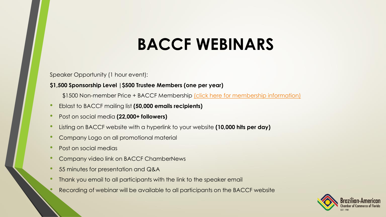### **BACCF WEBINARS**

Speaker Opportunity (1 hour event):

**\$1,500 Sponsorship Level |\$500 Trustee Members (one per year)**

\$1500 Non-member Price + BACCF Membership [\(click here for membership information\)](https://www.brazilchamber.org/services-benefits/)

- Eblast to BACCF mailing list **(50,000 emails recipients)**
- Post on social media **(22,000+ followers)**
- Listing on BACCF website with a hyperlink to your website **(10,000 hits per day)**
- Company Logo on all promotional material
- Post on social medias
- Company video link on BACCF ChamberNews
- 55 minutes for presentation and Q&A
- Thank you email to all participants with the link to the speaker email
	- Recording of webinar will be available to all participants on the BACCF website

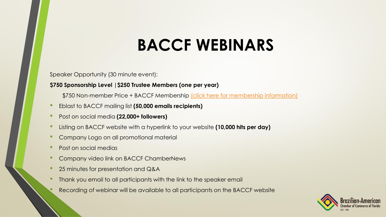### **BACCF WEBINARS**

Speaker Opportunity (30 minute event):

#### **\$750 Sponsorship Level |\$250 Trustee Members (one per year)**

- \$750 Non-member Price + BACCF Membership [\(click here for membership information\)](https://www.brazilchamber.org/services-benefits/)
- Eblast to BACCF mailing list **(50,000 emails recipients)**
- Post on social media **(22,000+ followers)**
- Listing on BACCF website with a hyperlink to your website **(10,000 hits per day)**
- Company Logo on all promotional material
- Post on social medias
- Company video link on BACCF ChamberNews
- 25 minutes for presentation and Q&A
- Thank you email to all participants with the link to the speaker email
	- Recording of webinar will be available to all participants on the BACCF website

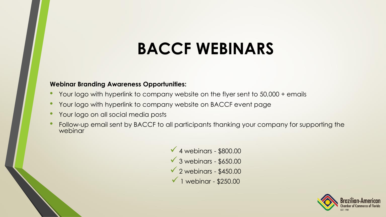# **BACCF WEBINARS**

#### **Webinar Branding Awareness Opportunities:**

- Your logo with hyperlink to company website on the flyer sent to 50,000 + emails
- Your logo with hyperlink to company website on BACCF event page
- Your logo on all social media posts
- Follow-up email sent by BACCF to all participants thanking your company for supporting the webinar

 $\sqrt{4}$  webinars - \$800.00  $\sqrt{3}$  webinars - \$650.00  $\sqrt{2}$  webinars - \$450.00  $\checkmark$  1 webinar - \$250.00

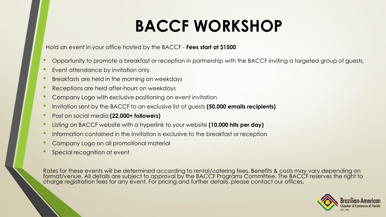# **BACCF WORKSHOP**

Hold an event in your office hosted by the BACCF - **Fees start at \$1500**

- Opportunity to promote a breakfast or reception in partnership with the BACCF inviting a targeted group of guests.
- Event attendance by invitation only.
- Breakfasts are held in the morning on weekdays
- Receptions are held after-hours on weekdays
- Company Logo with exclusive positioning on event invitation
- Invitation sent by the BACCF to an exclusive list of guests **(50,000 emails recipients)**
- Post on social media **(22,000+ followers)**
- Listing on BACCF website with a hyperlink to your website **(10,000 hits per day)**
- Information contained in the invitation is exclusive to the breakfast or reception
- Company Logo on all promotional material
- Special recognition at event

Rates for these events will be determined according to rental/catering fees. Benefits & costs may vary depending on format/venue. All details are subject to approval by the BACCF Programs Committee. The BACCF reserves the right to charge registration fees for any event. For pricing and further details, please contact our offices.